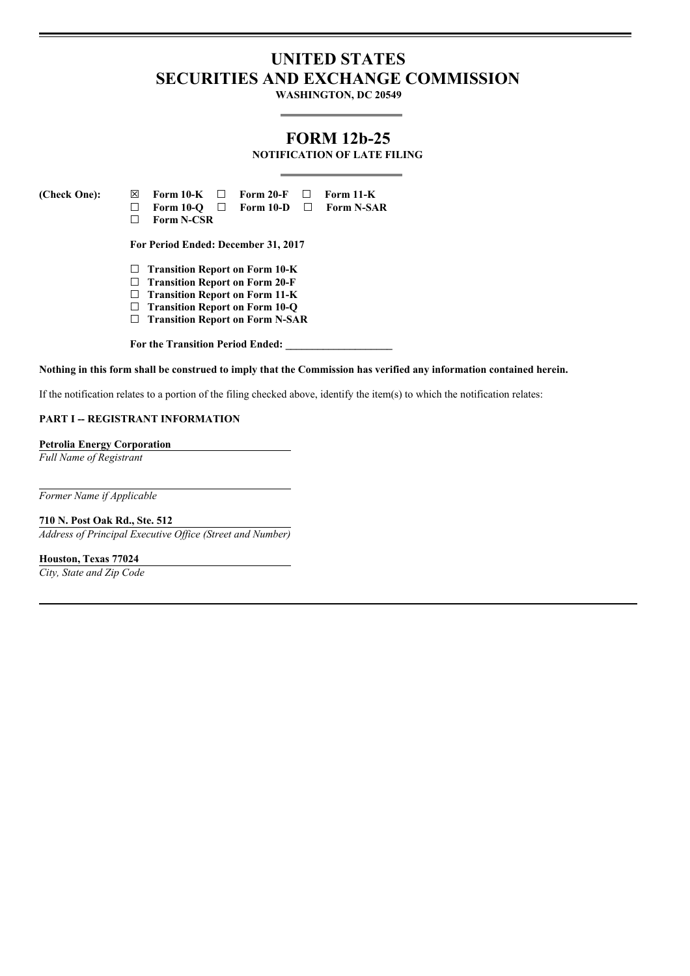# **UNITED STATES SECURITIES AND EXCHANGE COMMISSION**

**WASHINGTON, DC 20549**

# **FORM 12b-25**

**NOTIFICATION OF LATE FILING**

**(Check One): ☒ Form 10-K ☐ Form 20-F ☐ Form 11-K ☐ Form 10-Q ☐ Form 10-D ☐ Form N-SAR ☐ Form N-CSR For Period Ended: December 31, 2017 ☐ Transition Report on Form 10-K ☐ Transition Report on Form 20-F ☐ Transition Report on Form 11-K ☐ Transition Report on Form 10-Q ☐ Transition Report on Form N-SAR For the Transition Period Ended: \_\_\_\_\_\_\_\_\_\_\_\_\_\_\_\_\_\_\_\_**

Nothing in this form shall be construed to imply that the Commission has verified any information contained herein.

If the notification relates to a portion of the filing checked above, identify the item(s) to which the notification relates:

#### **PART I -- REGISTRANT INFORMATION**

#### **Petrolia Energy Corporation**

*Full Name of Registrant*

*Former Name if Applicable*

**710 N. Post Oak Rd., Ste. 512**

*Address of Principal Executive Of ice (Street and Number)*

**Houston, Texas 77024**

*City, State and Zip Code*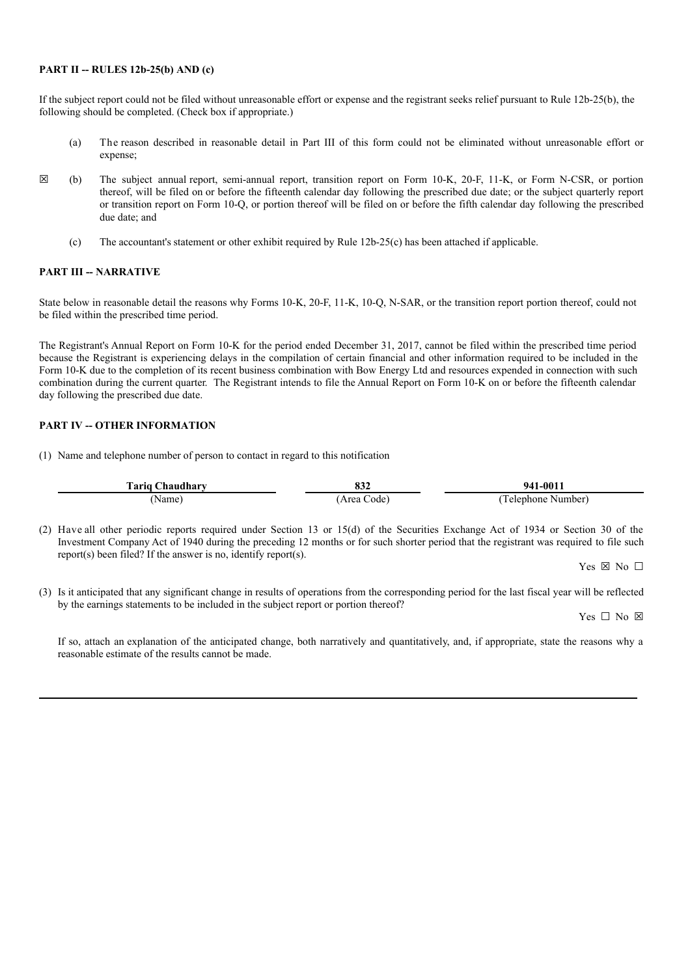#### **PART II -- RULES 12b-25(b) AND (c)**

If the subject report could not be filed without unreasonable effort or expense and the registrant seeks relief pursuant to Rule 12b-25(b), the following should be completed. (Check box if appropriate.)

- (a) The reason described in reasonable detail in Part III of this form could not be eliminated without unreasonable effort or expense;
- **☒** (b) The subject annual report, semi-annual report, transition report on Form 10-K, 20-F, 11-K, or Form N-CSR, or portion thereof, will be filed on or before the fifteenth calendar day following the prescribed due date; or the subject quarterly report or transition report on Form 10-Q, or portion thereof will be filed on or before the fifth calendar day following the prescribed due date; and
	- (c) The accountant's statement or other exhibit required by Rule 12b-25(c) has been attached if applicable.

### **PART III -- NARRATIVE**

State below in reasonable detail the reasons why Forms 10-K, 20-F, 11-K, 10-Q, N-SAR, or the transition report portion thereof, could not be filed within the prescribed time period.

The Registrant's Annual Report on Form 10-K for the period ended December 31, 2017, cannot be filed within the prescribed time period because the Registrant is experiencing delays in the compilation of certain financial and other information required to be included in the Form 10-K due to the completion of its recent business combination with Bow Energy Ltd and resources expended in connection with such combination during the current quarter. The Registrant intends to file the Annual Report on Form 10-K on or before the fifteenth calendar day following the prescribed due date.

### **PART IV -- OTHER INFORMATION**

(1) Name and telephone number of person to contact in regard to this notification

| Tariq Chaudhary | 0.JZ       | $941 - 0017$      |
|-----------------|------------|-------------------|
| Name)           | Area Code) | Telenhone Number) |

(2) Have all other periodic reports required under Section 13 or 15(d) of the Securities Exchange Act of 1934 or Section 30 of the Investment Company Act of 1940 during the preceding 12 months or for such shorter period that the registrant was required to file such report(s) been filed? If the answer is no, identify report(s).

Yes  $\boxtimes$  No  $\Box$ 

(3) Is it anticipated that any significant change in results of operations from the corresponding period for the last fiscal year will be reflected by the earnings statements to be included in the subject report or portion thereof?

Yes □ No ⊠

If so, attach an explanation of the anticipated change, both narratively and quantitatively, and, if appropriate, state the reasons why a reasonable estimate of the results cannot be made.